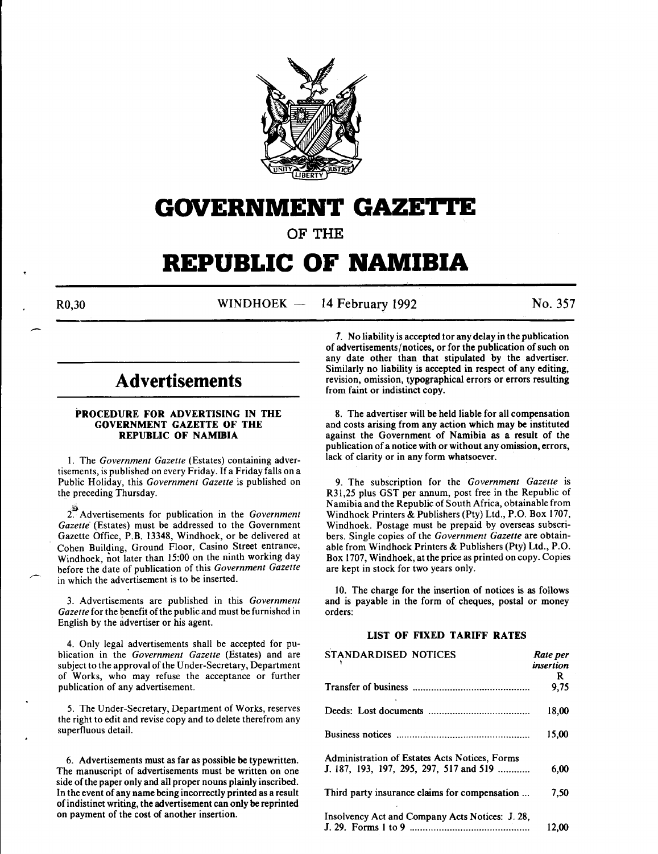

# **GOVERNMENT GAZE'l.I'E**

OF THE

# **REPUBLIC OF NAMIBIA**

 $R0,30$  WINDHOEK - 14 February 1992 No. 357

# **Advertisements**

#### PROCEDURE FOR ADVERTISING IN THE GOVERNMENT GAZETTE OF THE REPUBLIC OF NAMIBIA

I. The *Government Gazette* (Estates) containing advertisements, is published on every Friday. If a Friday falls on a Public Holiday, this *Government Gazette* is published on the preceding Thursday.

2~ Advertisements for publication in the *Government*  Gazette (Estates) must be addressed to the Government Gazette Office, P.B. 13348, Windhoek, or be delivered at Cohen Building, Ground Floor, Casino Street entrance, Windhoek, not later than 15:00 on the ninth working day before the date of publication of this *Government Gazette*  in which the advertisement is to be inserted.

3. Advertisements are published in this *Government Gazette* for the benefit of the public and must be furnished in English by the advertiser or his agent.

4. Only legal advertisements shall be accepted for publication in the *Government Gazette* (Estates) and are subject to the approval of the Under-Secretary, Department of Works, who may refuse the acceptance or further publication of any advertisement.

5. The Under-Secretary, Department of Works, reserves the right to edit and revise copy and to delete therefrom any superfluous detail.

6. Advertisements must as far as possible be typewritten. The manuscript of advertisements must be written on one side of the paper only and all proper nouns plainly inscribed. In the event of any name being incorrectly printed as a result of indistinct writing, the advertisement can only be reprinted on payment of the cost of another insertion.

*1.* No liability is accepted tor any delay in the publication of advertisements/notices, or for the publication of such on any date other than that stipulated by the advertiser. Similarly no liability is accepted in respect of any editing, revision, omission, typographical errors or errors resulting from faint or indistinct copy.

8. The advertiser will be held liable for all compensation and costs arising from any action which may be instituted against the Government of Namibia as a result of the publication of a notice with or without any omission, errors, lack of clarity or in any form whatsoever.

9. The subscription for the *Government Gazette* is R31,25 plus GST per annum, post free in the Republic of Namibia and the Republic of South Africa, obtainable from Windhoek Printers & Publishers (Pty) Ltd., P.O. Box 1707, Windhoek. Postage must be prepaid by overseas subscribers. Single copies of the *Government Gazette* are obtainable from Windhoek Printers & Publishers (Pty) Ltd., P.O. Box 1707, Windhoek, at the price as printed on copy. Copies are kept in stock for two years only.

10. The charge for the insertion of notices is as follows and is payable in the form of cheques, postal or money orders:

#### LIST OF FIXED TARIFF RATES

| STANDARDISED NOTICES                            | Rate per  |
|-------------------------------------------------|-----------|
|                                                 | insertion |
|                                                 | R.        |
|                                                 | 9,75      |
|                                                 | 18.00     |
|                                                 | 15,00     |
| Administration of Estates Acts Notices, Forms   |           |
| J. 187, 193, 197, 295, 297, 517 and 519         | 6.00      |
| Third party insurance claims for compensation   | 7.50      |
| Insolvency Act and Company Acts Notices: J. 28, |           |
|                                                 | 12.00     |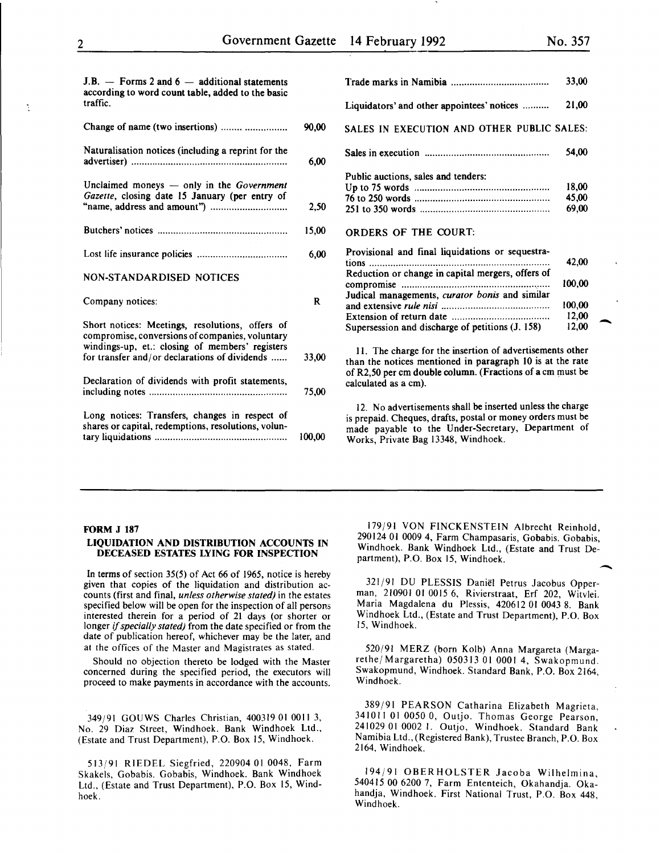12,00  $\begin{array}{c} 00,00 \\ 12,00 \\ 12,00 \end{array}$ 

| $J.B.$ - Forms 2 and 6 - additional statements<br>according to word count table, added to the basic   |              |                                                                                                                                                                                                                       | 33,00          |
|-------------------------------------------------------------------------------------------------------|--------------|-----------------------------------------------------------------------------------------------------------------------------------------------------------------------------------------------------------------------|----------------|
| traffic.                                                                                              |              | Liquidators' and other appointees' notices                                                                                                                                                                            | 21,00          |
| Change of name (two insertions)                                                                       | 90,00        | SALES IN EXECUTION AND OTHER PUBLIC SALES:                                                                                                                                                                            |                |
| Naturalisation notices (including a reprint for the                                                   | 6,00         |                                                                                                                                                                                                                       | 54,00          |
| Unclaimed moneys $-$ only in the Government<br>Gazette, closing date 15 January (per entry of         |              | Public auctions, sales and tenders:                                                                                                                                                                                   | 18,00          |
|                                                                                                       | 2,50         |                                                                                                                                                                                                                       | 45,00<br>69,00 |
|                                                                                                       | 15,00        | <b>ORDERS OF THE COURT:</b>                                                                                                                                                                                           |                |
|                                                                                                       | 6,00         | Provisional and final liquidations or sequestra-                                                                                                                                                                      | 42,00          |
| <b>NON-STANDARDISED NOTICES</b>                                                                       |              | Reduction or change in capital mergers, offers of                                                                                                                                                                     | 100,00         |
| Company notices:                                                                                      | $\mathbf{R}$ | Judical managements, curator bonis and similar                                                                                                                                                                        | 100,00         |
| Short notices: Meetings, resolutions, offers of<br>compromise, conversions of companies, voluntary    |              | Supersession and discharge of petitions (J. 158)                                                                                                                                                                      | 12,00<br>12,00 |
| windings-up, et.: closing of members' registers<br>for transfer and/or declarations of dividends      | 33,00        | 11. The charge for the insertion of advertisements other<br>than the notices mentioned in paragraph 10 is at the rate                                                                                                 |                |
| Declaration of dividends with profit statements,                                                      | 75,00        | of R2,50 per cm double column. (Fractions of a cm must be<br>calculated as a cm).                                                                                                                                     |                |
| Long notices: Transfers, changes in respect of<br>shares or capital, redemptions, resolutions, volun- | 100.00       | 12. No advertisements shall be inserted unless the charge<br>is prepaid. Cheques, drafts, postal or money orders must be<br>made payable to the Under-Secretary, Department of<br>Works, Private Bag 13348, Windhoek. |                |
|                                                                                                       |              |                                                                                                                                                                                                                       |                |

#### FORM J 187

#### LIQUIDATION AND DISTRIBUTION ACCOUNTS IN DECEASED ESTATES LYING FOR INSPECTION

In terms of section 35(5) of Act 66 of 1965, notice is hereby given that copies of the liquidation and distribution accounts (first and final, *unless otherwise stated)* in the estates specified below will be open for the inspection of all persons interested therein for a period of 21 days (or shorter or longer if *specially stated)* from the date specified or from the date of publication hereof, whichever may be the later, and at the offices of the Master and Magistrates as stated.

Should no objection thereto be lodged with the Master concerned during the specified period, the executors will proceed to make payments in accordance with the accounts.

349/91 GOUWS Charles Christian, 400319 01 0011 3, No. 29 Diaz Street, Windhoek. Bank Windhoek Ltd., (Estate and Trust Department), P.O. Box 15, Windhoek.

513/91 RIEDEL Siegfried, 220904 01 0048, Farm Skakels, Gobabis. Gobabis, Windhoek. Bank Windhoek Ltd., (Estate and Trust Department), P.O. Box 15, Windhoek.

179/91 VON FINCKENSTEIN Albrecht Reinhold, 290124 01 0009 4, Farm Champasaris, Gobabis. Gobabis, Windhoek. Bank Windhoek Ltd., (Estate and Trust Department), P.O. Box 15, Windhoek.  $\frac{1}{\cdot}$ 

321/91 DU PLESSIS Daniel Petrus Jacobus Opperman, 210901 01 0015 6, Rivierstraat, Erf 202, Witvlei. Maria Magdalena du Plessis, 420612 01 0043 8. Bank Windhoek Ltd., (Estate and Trust Department), P.O. Box 15, Windhoek.

520/91 MERZ (born Kolb) Anna Margareta (MargarethejMargaretha) 050313 01 0001 4, Swakopmund. Swakopmund, Windhoek. Standard Bank, P.O. Box 2164, Windhoek.

389/91 PEARSON Catharina Elizabeth Magrieta, 341011 01 0050 0, Outjo. Thomas George Pearson, 241029 01 0002 1. Outjo, Windhoek. Standard Bank Namibia Ltd., (Registered Bank), Trustee Branch, P.O. Box 2164, Windhoek.

194/91 OBERHOLSTER Jacoba Wilhelmina 540415 00 6200 7, Farm Ententeich, Okahandja. Oka~ handja, Windhoek. First National Trust, P.O. Box 448, Windhoek.

÷.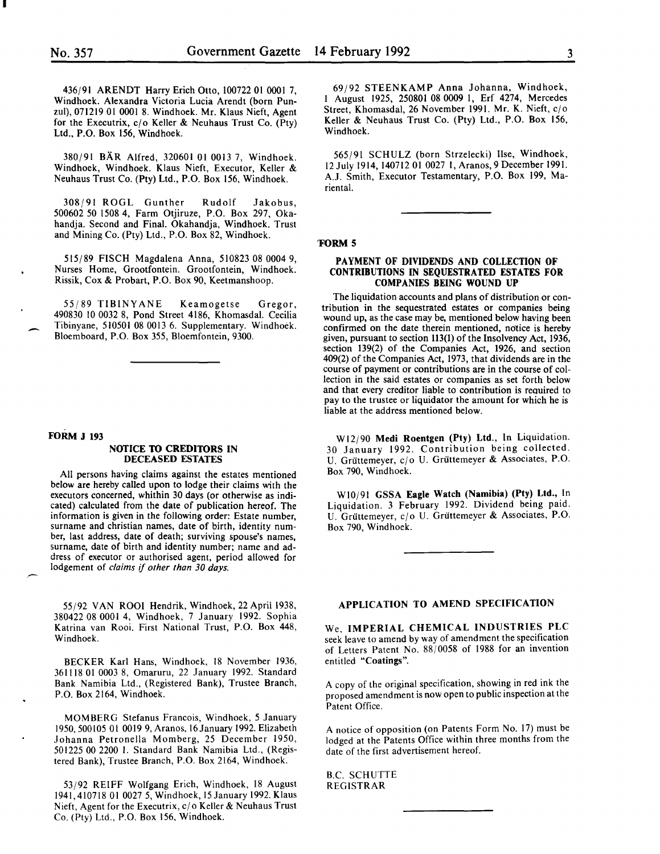I

436/91 ARENDT Harry Erich Otto, 100722 01 0001 7, Windhoek. Alexandra Victoria Lucia Arendt (born Punzul), 071219 01 0001 8. Windhoek. Mr. Klaus Nieft, Agent for the Executrix,  $c/o$  Keller & Neuhaus Trust Co. (Pty) Ltd., P.O. Box 156, Windhoek.

380/91 BAR Alfred, 320601 01 0013 7, Windhoek. Windhoek, Windhoek. Klaus Nieft, Executor, Keller & Neuhaus Trust Co. (Pty) Ltd., P.O. Box 156, Windhoek.

308/91 ROGL Gunther Rudolf Jakobus, 500602 50 1508 4, Farm Otjiruze, P.O. Box 297, Okahandja. Second and Final. Okahandja, Windhoek. Trust and Mining Co. (Pty) Ltd., P.O. Box 82, Windhoek.

515/89 FISCH Magdalena Anna, 510823 08 0004 9, Nurses Home, Grootfontein. Grootfontein, Windhoek. Rissik, Cox & Probart, P.O. Box 90, Keetmanshoop.

55/89 TIBINYANE Keamogetse Gregor, 490830 10 0032 8, Pond Street 4186, Khomasdal. Cecilia Tibinyane, 510501 08 0013 6. Supplementary. Windhoek. Bloemboard, P.O. Box 355, Bloemfontein, 9300.

#### FORM J 193

 $\overline{\phantom{a}}$ 

#### NOTICE TO CREDITORS IN DECEASED ESTATES

All persons having claims against the estates mentioned below are hereby called upon to lodge their claims with the executors concerned, whithin 30 days (or otherwise as indicated) calculated from the date of publication hereof. The information is given in the following order: Estate number, surname and christian names, date of birth, identity number, last address, date of death; surviving spouse's names, surname, date of birth and identity number; name and address of executor or authorised agent, period allowed for lodgement of *claims* if *other than 30 days.* 

55/92 VAN ROOI Hendrik, Windhoek, 22 April 1938, 380422 08 0001 4, Windhoek, 7 January 1992. Sophia Katrina van Rooi. First National Trust, P.O. Box 448, Windhoek.

BECKER Karl Hans, Windhoek, 18 November 1936, 361118 01 0003 8, Omaruru, 22 January 1992. Standard Bank Namibia Ltd., (Registered Bank), Trustee Branch, P.O. Box 2164, Windhoek.

MOMBERG Stefanus Francois, Windhoek, *5* January 1950,500105 01 0019 9, Aranos, 16January 1992. Elizabeth Johanna Petronella Mom berg, 25 December 1950, 501225 00 2200 I. Standard Bank Namibia Ltd., (Registered Bank), Trustee Branch, P.O. Box 2164, Windhoek.

53/92 REIFF Wolfgang Erich, Windhoek, 18 August 1941,410718 01 0027 5, Windhoek, 15January 1992. Klaus Nieft, Agent for the Executrix, c/o Keller & Neuhaus Trust Co. (Pty) Ltd., P.O. Box 156, Windhoek.

69/92 STEENKAMP Anna Johanna, Windhoek, I August 1925, 250801 08 0009 I, Erf 4274, Mercedes Street, Khomasdal, 26 November 1991. Mr. K. Nieft, c/o Keller & Neuhaus Trust Co. (Pty) Ltd., P.O. Box 156, Windhoek.

565/91 SCHULZ (born Strzelecki) lise, Windhoek, 12 July 1914, 140712 01 0027 I, Aranos, 9 December 1991. A.J. Smith, Executor Testamentary, P.O. Box 199, Mariental.

#### 'FORM 5

#### PAYMENT OF DIVIDENDS AND COLLECTION OF CONTRIBUTIONS IN SEQUESTRATED ESTATES FOR COMPANIES BEING WOUND UP

The liquidation accounts and plans of distribution or contribution in the sequestrated estates or companies being wound up, as the case may be, mentioned below having been confirmed on the date therein mentioned, notice is hereby given, pursuant to section 113(1) of the Insolvency Act, 1936, section 139(2) of the Companies Act, 1926, and section 409(2) of the Companies Act, 1973, that dividends are in the course of payment or contributions are in the course of collection in the said estates or companies as set forth below and that every creditor liable to contribution is required to pay to the trustee or liquidator the amount for which he is liable at the address mentioned below.

W12/90 Medi Roentgen (Pty) Ltd., In Liquidation. 30 January 1992. Contribution being collected. U. Grüttemeyer, c/o U. Grüttemeyer & Associates, P.O. Box 790, Windhoek.

WI0/91 GSSA Eagle Watch (Namibia) (Pty) Ltd., In Liquidation. 3 February 1992. Dividend being paid. U. Grüttemeyer, c/o U. Grüttemeyer & Associates, P.O. Box 790, Windhoek.

## APPLICATION TO AMEND SPECIFICATION

We, IMPERIAL CHEMICAL INDUSTRIES PLC seek leave to amend by way of amendment the specification of Letters Patent No. 88/0058 of 1988 for an invention entitled "Coatings".

A copy of the original specification, showing in red ink the proposed amendment is now open to public inspection at the Patent Office.

A notice of opposition (on Patents Form No. 17) must be lodged at the Patents Office within three months from the date of the first advertisement hereof.

B.C. SCHUTTE REGISTRAR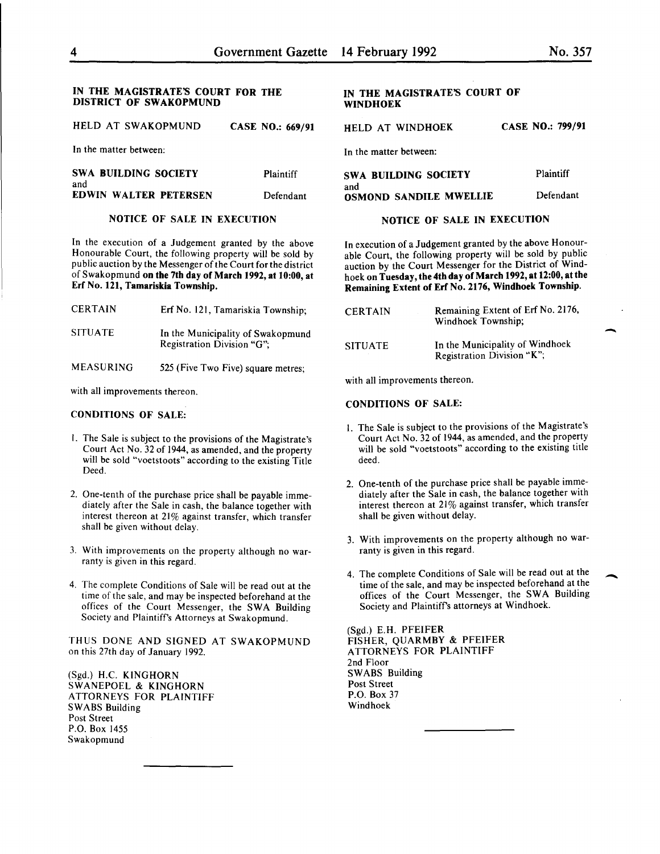#### IN THE MAGISTRATE'S COURT FOR THE DISTRICT OF SWAKOPMUND

HELD AT SWAKOPMUND CASE NO.: 669/91

In the matter between:

| <b>SWA BUILDING SOCIETY</b>  | Plaintiff |
|------------------------------|-----------|
| and                          |           |
| <b>EDWIN WALTER PETERSEN</b> | Defendant |

### NOTICE OF SALE IN EXECUTION

In the execution of a Judgement granted by the above Honourable Court, the following property will be sold by public auction by the Messenger of the Court for the district of Swakopmund on the 7th day of March 1992, at 10:00, at Erf No. 121, Tamariskia Township.

| <b>CERTAIN</b> | Erf No. 121, Tamariskia Township;                               |
|----------------|-----------------------------------------------------------------|
| <b>SITUATE</b> | In the Municipality of Swakopmund<br>Registration Division "G": |

MEASURING 525 (Five Two Five) square metres;

with all improvements thereon.

#### CONDITIONS OF SALE:

- I. The Sale is subject to the provisions of the Magistrate's Court Act No. 32 of 1944, as amended, and the property will be sold "voetstoots" according to the existing Title Deed.
- 2. One-tenth of the purchase price shall be payable immediately after the Sale in cash, the balance together with interest thereon at 21% against transfer, which transfer shall be given without delay.
- 3. With improvements on the property although no warranty is given in this regard.
- 4. The complete Conditions of Sale will be read out at the time of the sale, and may be inspected beforehand at the offices of the Court Messenger, the SWA Building Society and Plaintiff's Attorneys at Swakopmund.

THUS DONE AND SIGNED AT SWAKOPMUND on this 27th day of January 1992.

(Sgd.) H.C. KINGHORN SWANEPOEL & KINGHORN ATTORNEYS FOR PLAINTIFF SWABS Building Post Street P.O. Box 1455 Swakopmund

#### IN THE MAGISTRATE'S COURT OF WINDHOEK

HELD AT WINDHOEK CASE NO.: 799/91

In the matter between:

| SWA BUILDING SOCIETY                 | Plaintiff |
|--------------------------------------|-----------|
| and<br><b>OSMOND SANDILE MWELLIE</b> | Defendant |

#### NOTICE OF SALE IN EXECUTION

In execution of a Judgement granted by the above Honourable Court, the following property will be sold by public auction by the Court Messenger for the District of Windhoek on Tuesday, the 4th day of March 1992, at 12:00, at the Remaining Extent of Erf No. 2176, Windhoek Township.

| CERTAIN        | Remaining Extent of Erf No. 2176,<br>Windhoek Township;       |
|----------------|---------------------------------------------------------------|
| <b>SITUATE</b> | In the Municipality of Windhoek<br>Registration Division "K"; |

with all improvements thereon.

#### CONDITIONS OF SALE:

- I. The Sale is subject to the provisions of the Magistrate's Court Act No. 32 of 1944, as amended, and the property will be sold "voetstoots" according to the existing title deed.
- 2. One-tenth of the purchase price shall be payable immediately after the Sale in cash, the balance together with interest thereon at 21% against transfer, which transfer shall be given without delay.
- 3. With improvements on the property although no warranty is given in this regard.
- 4. The complete Conditions of Sale will be read out at the time of the sale, and may be inspected beforehand at the offices of the Court Messenger, the SWA Building Society and Plaintiffs attorneys at Windhoek.

(Sgd.) E.H. PFEIFER FISHER, QUARMBY & PFEIFER ATTORNEYS FOR PLAINTIFF 2nd Floor SWABS Building Post Street P.O. Box 37 Windhoek

-

-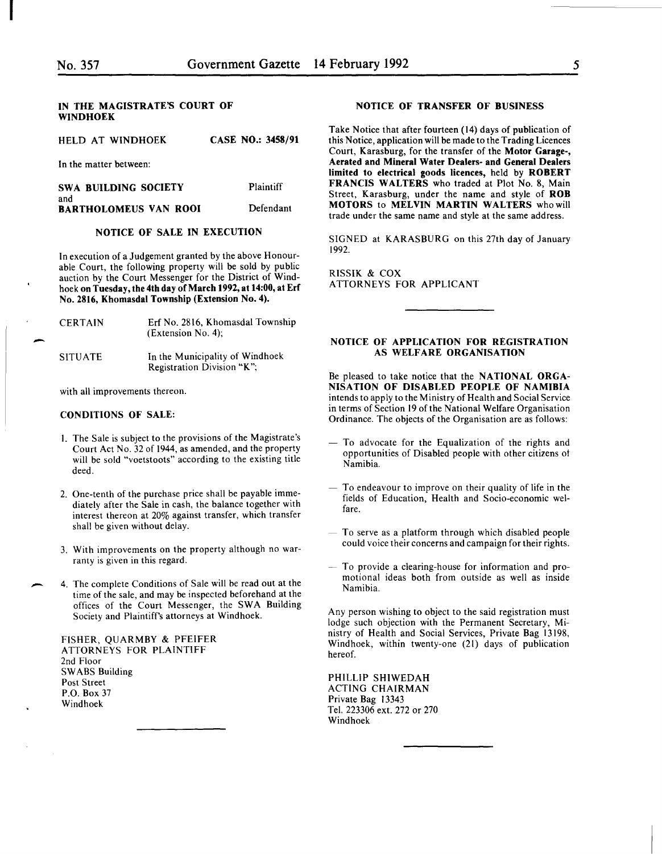I

-

-

#### IN THE MAGISTRATE'S COURT OF WINDHOEK

| HELD AT WINDHOEK |  |  | CASE NO.: 3458/91 |
|------------------|--|--|-------------------|
|------------------|--|--|-------------------|

In the matter between:

| SWA BUILDING SOCIETY                | Plaintiff |
|-------------------------------------|-----------|
| and<br><b>BARTHOLOMEUS VAN ROOI</b> | Defendant |

#### NOTICE OF SALE IN EXECUTION

In execution of a Judgement granted by the above Honourable Court, the following property will be sold by public auction by the Court Messenger for the District of Windhoek on Tuesday, the 4th day of March 1992, at 14:00, at Erf No. 2816, Khomasdal Township (Extension No.4).

| <b>CERTAIN</b> | Erf No. 2816, Khomasdal Township<br>(Extension No. 4);        |
|----------------|---------------------------------------------------------------|
| <b>SITUATE</b> | In the Municipality of Windhoek<br>Registration Division "K"; |

with all improvements thereon.

#### CONDITIONS OF SALE:

- I. The Sale is subject to the provisions of the Magistrate's Court Act No. 32 of 1944, as amended, and the property will be sold "voetstoots" according to the existing title deed.
- 2. One-tenth of the purchase price shall be payable immediately after the Sale in cash, the balance together with interest thereon at 20% against transfer, which transfer shall be given without delay.
- 3. With improvements on the property although no warranty is given in this regard.
- 4. The complete Conditions of Sale will be read out at the time of the sale, and may be inspected beforehand at the offices of the Court Messenger, the SWA Building Society and Plaintiffs attorneys at Windhoek.

FISHER, QUARMBY & PFEIFER ATTORNEYS FOR PLAINTIFF 2nd Floor SWABS Building Post Street P.O. Box 37 Windhoek

#### NOTICE OF TRANSFER OF BUSINESS

Take Notice that after fourteen (14) days of publication of this Notice, application will be made to the Trading Licences Court, Karasburg, for the transfer of the Motor Garage-, Aerated and Mineral Water Dealers- and General Dealers limited to electrical goods licences, held by ROBERT FRANCIS WALTERS who traded at Plot No. 8, Main Street, Karasburg, under the name and style of ROB MOTORS to MELVIN MARTIN WALTERS who will trade under the same name and style at the same address.

SIGNED at KARASBURG on this 27th day of January 1992.

RISSIK & COX ATTORNEYS FOR APPLICANT

#### NOTICE OF APPLICATION FOR REGISTRATION AS WELFARE ORGANISATION

Be pleased to take notice that the NATIONAL ORGA-NISATION OF DISABLED PEOPLE OF NAMIBIA intends to apply to the Ministry of Health and Social Service in terms of Section 19 of the National Welfare Organisation Ordinance. The objects of the Organisation are as follows:

- $-$  To advocate for the Equalization of the rights and opportunities of Disabled people with other citizens of Namibia.
- $-$  To endeavour to improve on their quality of life in the fields of Education, Health and Socio-economic welfare.
- To serve as a platform through which disabled people could voice their concerns and campaign for their rights.
- To provide a clearing-house for information and promotional ideas both from outside as well as inside Namibia.

Any person wishing to object to the said registration must lodge such objection with the Permanent Secretary, Mimstry of Health and Social Services, Private Bag 13198, Windhoek, within twenty-one (21) days of publication hereof.

PHILLIP SHIWEDAH ACTING CHAIRMAN Private Bag 13343 Tel. 223306 ext. 272 or 270 Windhoek

5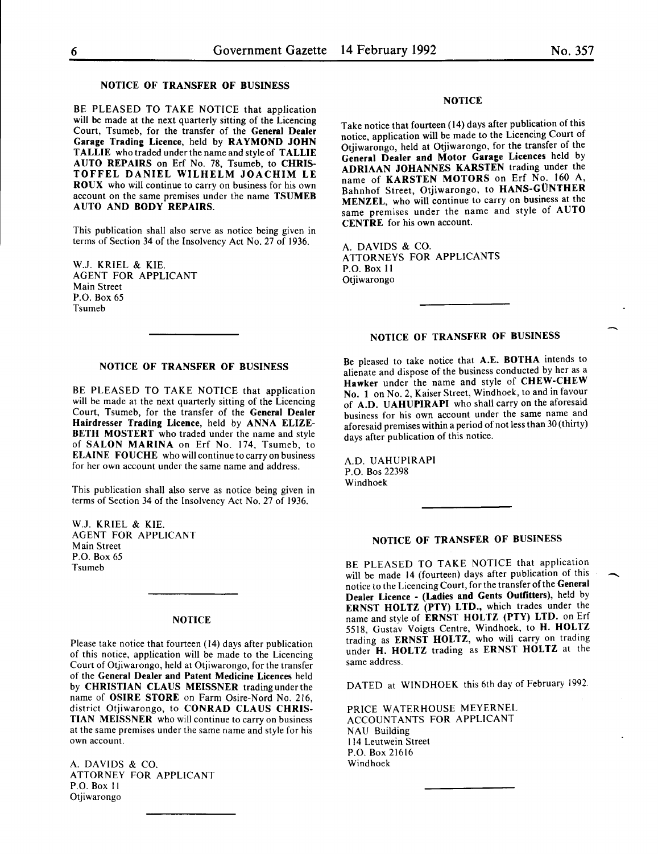$\overline{\phantom{a}}$ 

#### NOTICE OF TRANSFER OF BUSINESS

BE PLEASED TO TAKE NOTICE that application will be made at the next quarterly sitting of the Licencing Court, Tsumeb, for the transfer of the General Dealer Garage Trading Licence, held by RAYMOND JOHN TALLIE who traded under the name and style of TALLIE AUTO REPAIRS on Erf No. 78, Tsumeb, to CHRIS-TOFFEL DANIEL WILHELM JOACHIM LE ROUX who will continue to carry on business for his own account on the same premises under the name TSUMEB AUTO AND BODY REPAIRS.

This publication shall also serve as notice being given in terms of Section 34 of the Insolvency Act No. 27 of 1936.

W.J. KRIEL & KIE. AGENT FOR APPLICANT Main Street P.O. Box 65 Tsumeb

## NOTICE

Take notice that fourteen ( 14) days after publication of this notice, application will be made to the Licencing Court of Otjiwarongo, held at Otjiwarongo, for the transfer of the General Dealer and Motor Garage Licences held by ADRIAAN JOHANNES KARSTEN trading under the name of KARSTEN MOTORS on Erf No. 160 A, Bahnhof Street, Otjiwarongo, to HANS-GÜNTHER MENZEL, who will continue to carry on busmess at the same premises under the name and style of AUTO CENTRE for his own account.

A. DAVIDS & CO. ATTORNEYS FOR APPLICANTS P.O. Box II Otjiwarongo

# NOTICE OF TRANSFER OF BUSINESS

Be pleased to take notice that A.E. BOTHA intends to alienate and dispose of the busmess conducted by her as a Hawker under the name and style of CHEW-CHEW No. 1 on No. 2, Kaiser Street, Windhoek, to and in favour of A.D. UAHUPIRAPI who shall carry on the aforesaid business for his own account under the same name and aforesaid premises within a period of not less than 30 (thirty)

days after publication of this notice.

A.D. UAHUPIRAPI P.O. Bos 22398 Windhoek

#### NOTICE OF TRANSFER OF BUSINESS

BE PLEASED TO TAKE NOTICE that application will be made 14 (fourteen) days after publication of this notice to the Licencing Court, for the transfer of the General Dealer Licence - (Ladies and Gents Outfitters), held by ERNST HOLTZ (PTY) LTD., which trades under the name and style of ERNST HOLTZ (PTY) LTD. on Erf 5518, Gustav Voigts Centre, Windhoek, to H. HOLTZ trading as **ERNST HOLTZ**, who will carry on trading under H. HOLTZ trading as ERNST HOLTZ at the same address.

DATED at WINDHOEK this 6th day of February 1992.

PRICE WATERHOUSE MEYERNEL ACCOUNTANTS FOR APPLICANT NAU Building 114 Leutwein Street P.O. Box 21616 Windhoek

#### NOTICE OF TRANSFER OF BUSINESS

BE PLEASED TO TAKE NOTICE that application will be made at the next quarterly sitting of the Licencing Court, Tsumeb, for the transfer of the General Dealer Hairdresser Trading Licence, held by ANNA ELIZE-BETH MOSTERT who traded under the name and style of SALON MARINA on Erf No. 174, Tsumeb, to ELAINE FOUCHE who will continue to carry on business for her own account under the same name and address.

This publication shall also serve as notice being given in terms of Section 34 of the Insolvency Act No. 27 of 1936.

W.J. KRIEL & KIE. AGENT FOR APPLICANT Main Street P.O. Box 65 Tsumeb

### **NOTICE**

Please take notice that fourteen (14) days after publication of this notice, application will be made to the Licencing Court of Otjiwarongo, held at Otjiwarongo, for the transfer of the General Dealer and Patent Medicine Licences held by CHRISTIAN CLAUS MEISSNER tradingunderthe name of OSIRE STORE on Farm Osire-Nord No. 216, district Otjiwarongo, to CONRAD CLAUS CHRIS-TIAN MEISSNER who will continue to carry on business at the same premises under the same name and style for his own account.

A. DAVIDS & CO. ATTORNEY FOR APPLICANT P.O. Box II Otjiwarongo